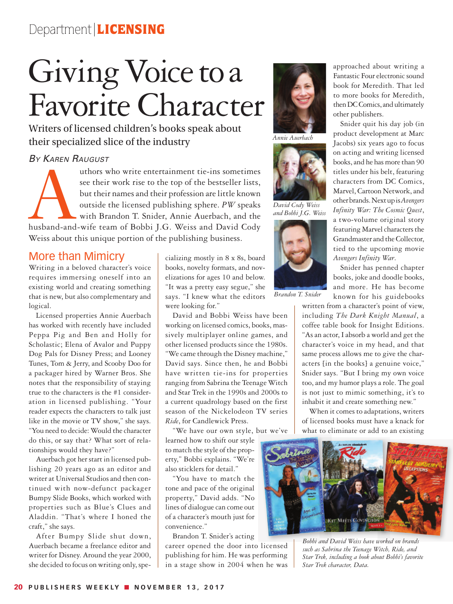## Department | LICENSING

# Giving Voice to a Favorite Character

Writers of licensed children's books speak about their specialized slice of the industry

#### *By Karen Raugust*

authors who write entertainment tie-ins sometimes<br>see their work rise to the top of the bestseller lists,<br>but their names and their profession are little known<br>outside the licensed publishing sphere. PW speaks<br>with Brandon see their work rise to the top of the bestseller lists, but their names and their profession are little known outside the licensed publishing sphere. *PW* speaks with Brandon T. Snider, Annie Auerbach, and the Weiss about this unique portion of the publishing business.

#### More than Mimicry

Writing in a beloved character's voice requires immersing oneself into an existing world and creating something that is new, but also complementary and logical.

Licensed properties Annie Auerbach has worked with recently have included Peppa Pig and Ben and Holly for Scholastic; Elena of Avalor and Puppy Dog Pals for Disney Press; and Looney Tunes, Tom & Jerry, and Scooby Doo for a packager hired by Warner Bros. She notes that the responsibility of staying true to the characters is the #1 consideration in licensed publishing. "Your reader expects the characters to talk just like in the movie or TV show," she says. "You need to decide: Would the character do this, or say that? What sort of relationships would they have?"

Auerbach got her start in licensed publishing 20 years ago as an editor and writer at Universal Studios and then continued with now-defunct packager Bumpy Slide Books, which worked with properties such as Blue's Clues and Aladdin. "That's where I honed the craft," she says.

After Bumpy Slide shut down, Auerbach became a freelance editor and writer for Disney. Around the year 2000, she decided to focus on writing only, specializing mostly in 8 x 8s, board books, novelty formats, and novelizations for ages 10 and below. "It was a pretty easy segue," she says. "I knew what the editors were looking for."

David and Bobbi Weiss have been working on licensed comics, books, massively multiplayer online games, and other licensed products since the 1980s. "We came through the Disney machine," David says. Since then, he and Bobbi have written tie-ins for properties ranging from Sabrina the Teenage Witch and Star Trek in the 1990s and 2000s to a current quadrology based on the first season of the Nickelodeon TV series *Ride*, for Candlewick Press.

"We have our own style, but we've learned how to shift our style to match the style of the property," Bobbi explains. "We're also sticklers for detail."

"You have to match the tone and pace of the original property," David adds. "No lines of dialogue can come out of a character's mouth just for convenience."

Brandon T. Snider's acting career opened the door into licensed publishing for him. He was performing in a stage show in 2004 when he was



*Annie Auerbach*



*David Cody Weiss and Bobbi J.G. Weiss*



*Brandon T. Snider*

approached about writing a Fantastic Four electronic sound book for Meredith. That led to more books for Meredith, then DC Comics, and ultimately other publishers.

Snider quit his day job (in product development at Marc Jacobs) six years ago to focus on acting and writing licensed books, and he has more than 90 titles under his belt, featuring characters from DC Comics, Marvel, Cartoon Network, and other brands. Next up is*Avengers Infinity War: The Cosmic Quest*, a two-volume original story featuring Marvel characters the Grandmaster and the Collector, tied to the upcoming movie *Avengers Infinity War*.

Snider has penned chapter books, joke and doodle books, and more. He has become known for his guidebooks

written from a character's point of view, including *The Dark Knight Manual*, a coffee table book for Insight Editions. "As an actor, I absorb a world and get the character's voice in my head, and that same process allows me to give the characters [in the books] a genuine voice," Snider says. "But I bring my own voice too, and my humor plays a role. The goal is not just to mimic something, it's to inhabit it and create something new."

When it comes to adaptations, writers of licensed books must have a knack for what to eliminate or add to an existing



*Bobbi and David Weiss have worked on brands such as Sabrina the Teenage Witch, Ride, and Star Trek, including a book about Bobbi's favorite Star Trek character, Data.*